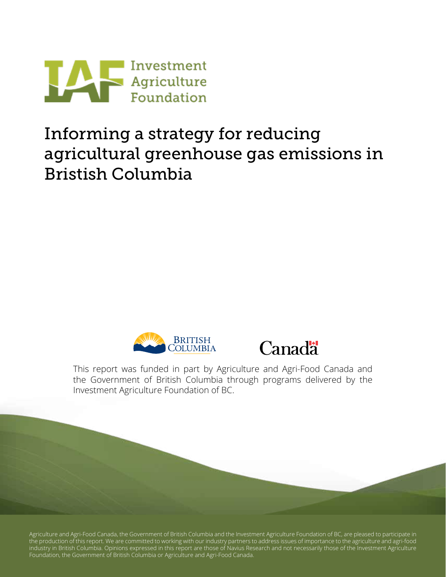

## Informing a strategy for reducing agricultural greenhouse gas emissions in Bristish Columbia





This report was funded in part by Agriculture and Agri-Food Canada and the Government of British Columbia through programs delivered by the Investment Agriculture Foundation of BC.

Agriculture and Agri-Food Canada, the Government of British Columbia and the Investment Agriculture Foundation of BC, are pleased to participate in the production of this report. We are committed to working with our industry partners to address issues of importance to the agriculture and agri-food industry in British Columbia. Opinions expressed in this report are those of Navius Research and not necessarily those of the Investment Agriculture Foundation, the Government of British Columbia or Agriculture and Agri-Food Canada.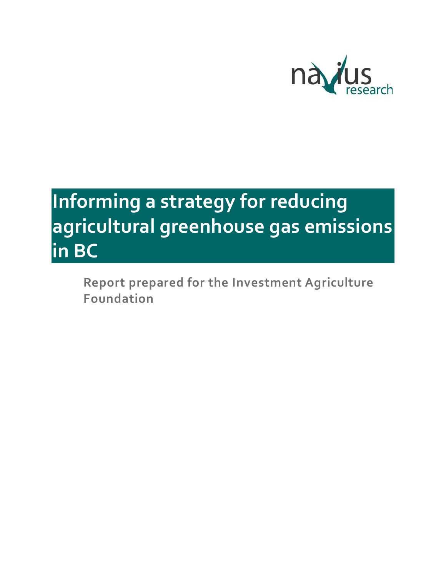

# **Informing a strategy for reducing agricultural greenhouse gas emissions in BC**

**Report prepared for the Investment Agriculture Foundation**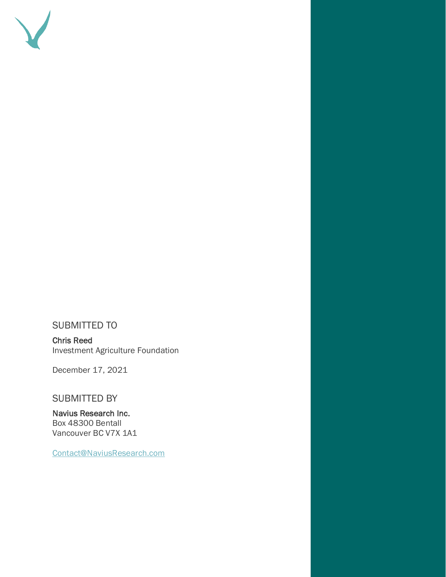

#### SUBMITTED TO

Chris Reed Investment Agriculture Foundation

December 17, 2021

#### SUBMITTED BY

Navius Research Inc. Box 48300 Bentall Vancouver BC V7X 1A1

[Contact@NaviusResearch.com](mailto:Contact@NaviusResearch.com)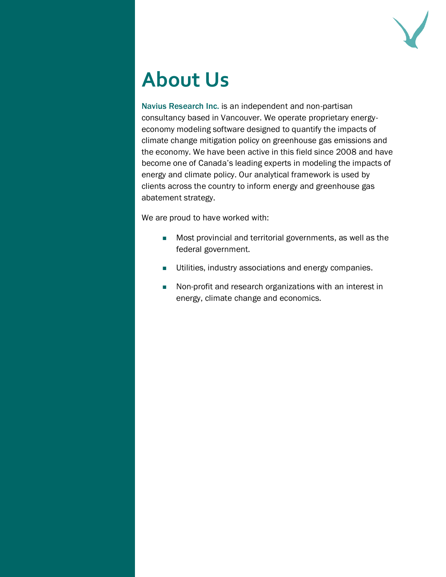

# **About Us**

Navius Research Inc. is an independent and non-partisan consultancy based in Vancouver. We operate proprietary energyeconomy modeling software designed to quantify the impacts of climate change mitigation policy on greenhouse gas emissions and the economy. We have been active in this field since 2008 and have become one of Canada's leading experts in modeling the impacts of energy and climate policy. Our analytical framework is used by clients across the country to inform energy and greenhouse gas abatement strategy.

We are proud to have worked with:

- Most provincial and territorial governments, as well as the federal government.
- Utilities, industry associations and energy companies.
- Non-profit and research organizations with an interest in energy, climate change and economics.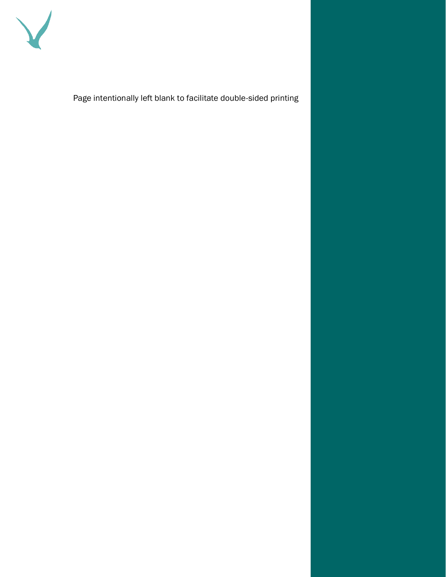

Page intentionally left blank to facilitate double-sided printing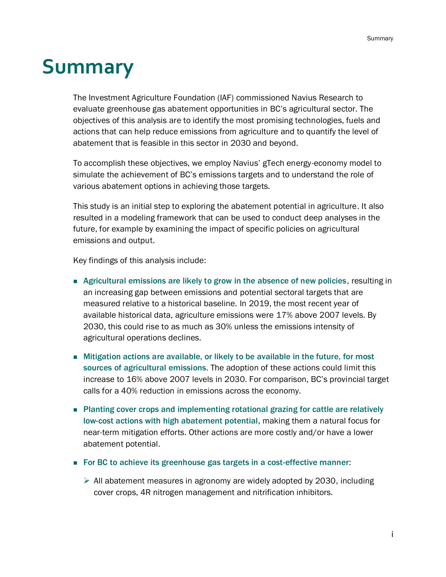## <span id="page-5-0"></span>**Summary**

The Investment Agriculture Foundation (IAF) commissioned Navius Research to evaluate greenhouse gas abatement opportunities in BC's agricultural sector. The objectives of this analysis are to identify the most promising technologies, fuels and actions that can help reduce emissions from agriculture and to quantify the level of abatement that is feasible in this sector in 2030 and beyond.

To accomplish these objectives, we employ Navius' gTech energy-economy model to simulate the achievement of BC's emissions targets and to understand the role of various abatement options in achieving those targets.

This study is an initial step to exploring the abatement potential in agriculture. It also resulted in a modeling framework that can be used to conduct deep analyses in the future, for example by examining the impact of specific policies on agricultural emissions and output.

Key findings of this analysis include:

- Agricultural emissions are likely to grow in the absence of new policies, resulting in an increasing gap between emissions and potential sectoral targets that are measured relative to a historical baseline. In 2019, the most recent year of available historical data, agriculture emissions were 17% above 2007 levels. By 2030, this could rise to as much as 30% unless the emissions intensity of agricultural operations declines.
- Mitigation actions are available, or likely to be available in the future, for most sources of agricultural emissions. The adoption of these actions could limit this increase to 16% above 2007 levels in 2030. For comparison, BC's provincial target calls for a 40% reduction in emissions across the economy.
- Planting cover crops and implementing rotational grazing for cattle are relatively low-cost actions with high abatement potential, making them a natural focus for near-term mitigation efforts. Other actions are more costly and/or have a lower abatement potential.
- For BC to achieve its greenhouse gas targets in a cost-effective manner:
	- ➢ All abatement measures in agronomy are widely adopted by 2030, including cover crops, 4R nitrogen management and nitrification inhibitors.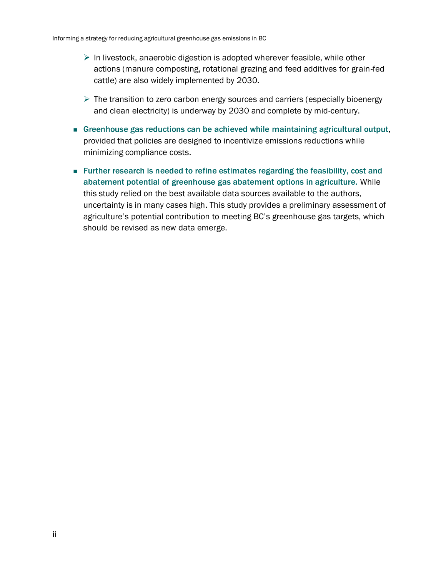- $\triangleright$  In livestock, anaerobic digestion is adopted wherever feasible, while other actions (manure composting, rotational grazing and feed additives for grain-fed cattle) are also widely implemented by 2030.
- $\triangleright$  The transition to zero carbon energy sources and carriers (especially bioenergy and clean electricity) is underway by 2030 and complete by mid-century.
- Greenhouse gas reductions can be achieved while maintaining agricultural output, provided that policies are designed to incentivize emissions reductions while minimizing compliance costs.
- Further research is needed to refine estimates regarding the feasibility, cost and abatement potential of greenhouse gas abatement options in agriculture. While this study relied on the best available data sources available to the authors, uncertainty is in many cases high. This study provides a preliminary assessment of agriculture's potential contribution to meeting BC's greenhouse gas targets, which should be revised as new data emerge.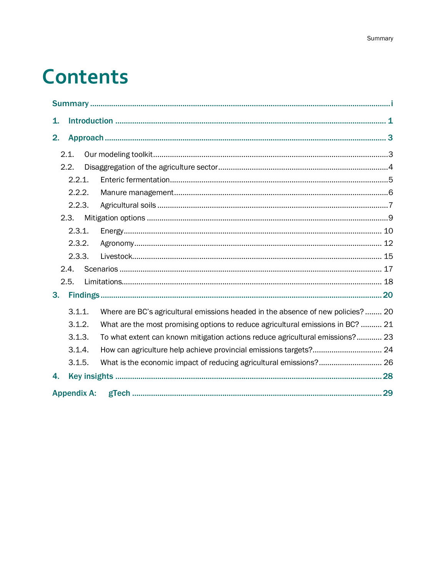# **Contents**

| 1.             |                    |  |                                                                                 |  |  |  |  |  |
|----------------|--------------------|--|---------------------------------------------------------------------------------|--|--|--|--|--|
| 2.             |                    |  |                                                                                 |  |  |  |  |  |
|                | 2.1.               |  |                                                                                 |  |  |  |  |  |
|                | 2.2.               |  |                                                                                 |  |  |  |  |  |
|                | 2.2.1.             |  |                                                                                 |  |  |  |  |  |
|                | 2.2.2.             |  |                                                                                 |  |  |  |  |  |
|                | 2.2.3.             |  |                                                                                 |  |  |  |  |  |
|                | 2.3.               |  |                                                                                 |  |  |  |  |  |
|                | 2.3.1.             |  |                                                                                 |  |  |  |  |  |
|                | 2.3.2.             |  |                                                                                 |  |  |  |  |  |
|                | 2.3.3.             |  |                                                                                 |  |  |  |  |  |
|                | 2.4.               |  |                                                                                 |  |  |  |  |  |
|                | 2.5.               |  |                                                                                 |  |  |  |  |  |
| 3 <sub>1</sub> |                    |  |                                                                                 |  |  |  |  |  |
|                | 3.1.1.             |  | Where are BC's agricultural emissions headed in the absence of new policies? 20 |  |  |  |  |  |
|                | 3.1.2.             |  | What are the most promising options to reduce agricultural emissions in BC?  21 |  |  |  |  |  |
|                | 3.1.3.             |  | To what extent can known mitigation actions reduce agricultural emissions? 23   |  |  |  |  |  |
|                | 3.1.4.             |  |                                                                                 |  |  |  |  |  |
|                | 3.1.5.             |  | What is the economic impact of reducing agricultural emissions? 26              |  |  |  |  |  |
| 4.             |                    |  |                                                                                 |  |  |  |  |  |
|                | <b>Appendix A:</b> |  |                                                                                 |  |  |  |  |  |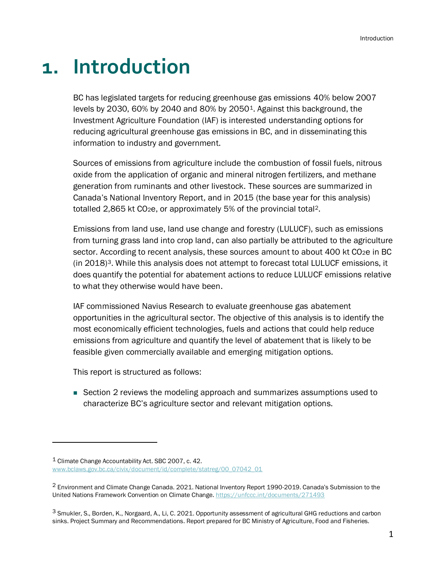## <span id="page-9-0"></span>**1. Introduction**

BC has legislated targets for reducing greenhouse gas emissions 40% below 2007 levels by 2030, 60% by 2040 and 80% by 20501. Against this background, the Investment Agriculture Foundation (IAF) is interested understanding options for reducing agricultural greenhouse gas emissions in BC, and in disseminating this information to industry and government.

Sources of emissions from agriculture include the combustion of fossil fuels, nitrous oxide from the application of organic and mineral nitrogen fertilizers, and methane generation from ruminants and other livestock. These sources are summarized in Canada's National Inventory Report, and in 2015 (the base year for this analysis) totalled 2,865 kt CO<sub>2</sub>e, or approximately 5% of the provincial total<sup>2</sup>.

Emissions from land use, land use change and forestry (LULUCF), such as emissions from turning grass land into crop land, can also partially be attributed to the agriculture sector. According to recent analysis, these sources amount to about 400 kt CO<sub>2</sub>e in BC  $(in 2018)<sup>3</sup>$ . While this analysis does not attempt to forecast total LULUCF emissions, it does quantify the potential for abatement actions to reduce LULUCF emissions relative to what they otherwise would have been.

IAF commissioned Navius Research to evaluate greenhouse gas abatement opportunities in the agricultural sector. The objective of this analysis is to identify the most economically efficient technologies, fuels and actions that could help reduce emissions from agriculture and quantify the level of abatement that is likely to be feasible given commercially available and emerging mitigation options.

This report is structured as follows:

■ Section [2](#page-11-0) reviews the modeling approach and summarizes assumptions used to characterize BC's agriculture sector and relevant mitigation options.

<sup>1</sup> Climate Change Accountability Act. SBC 2007, c. 42. [www.bclaws.gov.bc.ca/civix/document/id/complete/statreg/00\\_07042\\_01](http://www.bclaws.gov.bc.ca/civix/document/id/complete/statreg/00_07042_01)

<sup>2</sup> Environment and Climate Change Canada. 2021. National Inventory Report 1990-2019. Canada's Submission to the United Nations Framework Convention on Climate Change[. https://unfccc.int/documents/271493](https://unfccc.int/documents/271493)

<sup>3</sup> Smukler, S., Borden, K., Norgaard, A., Li, C. 2021. Opportunity assessment of agricultural GHG reductions and carbon sinks. Project Summary and Recommendations. Report prepared for BC Ministry of Agriculture, Food and Fisheries.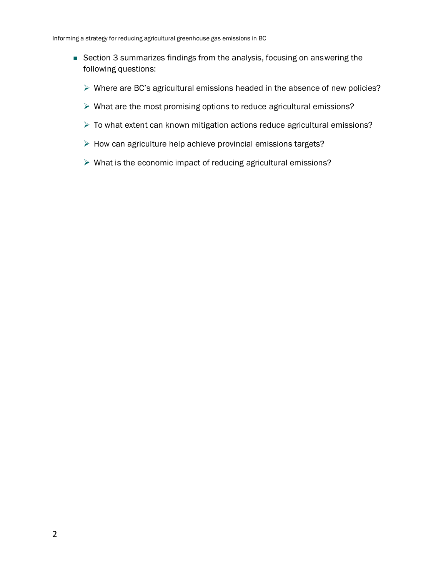- Section [3](#page-28-0) summarizes findings from the analysis, focusing on answering the following questions:
	- ➢ Where are BC's agricultural emissions headed in the absence of new policies?
	- ➢ What are the most promising options to reduce agricultural emissions?
	- ➢ To what extent can known mitigation actions reduce agricultural emissions?
	- ➢ How can agriculture help achieve provincial emissions targets?
	- ➢ What is the economic impact of reducing agricultural emissions?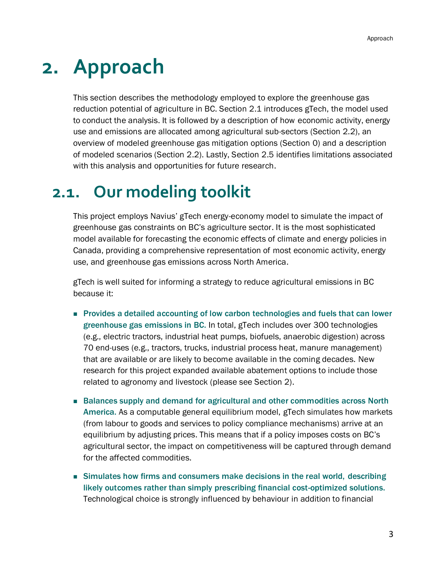## <span id="page-11-0"></span>**2. Approach**

This section describes the methodology employed to explore the greenhouse gas reduction potential of agriculture in BC. Section [2.1](#page-11-1) introduces gTech, the model used to conduct the analysis. It is followed by a description of how economic activity, energy use and emissions are allocated among agricultural sub-sectors (Section [2.2\)](#page-12-0), an overview of modeled greenhouse gas mitigation options (Section [0\)](#page-12-1) and a description of modeled scenarios (Section [2.2\)](#page-12-0). Lastly, Section [2.5](#page-26-0) identifies limitations associated with this analysis and opportunities for future research.

## <span id="page-11-1"></span>**2.1. Our modeling toolkit**

This project employs Navius' gTech energy-economy model to simulate the impact of greenhouse gas constraints on BC's agriculture sector. It is the most sophisticated model available for forecasting the economic effects of climate and energy policies in Canada, providing a comprehensive representation of most economic activity, energy use, and greenhouse gas emissions across North America.

gTech is well suited for informing a strategy to reduce agricultural emissions in BC because it:

- Provides a detailed accounting of low carbon technologies and fuels that can lower greenhouse gas emissions in BC. In total, gTech includes over 300 technologies (e.g., electric tractors, industrial heat pumps, biofuels, anaerobic digestion) across 70 end-uses (e.g., tractors, trucks, industrial process heat, manure management) that are available or are likely to become available in the coming decades. New research for this project expanded available abatement options to include those related to agronomy and livestock (please see Section [2\)](#page-11-0).
- Balances supply and demand for agricultural and other commodities across North America. As a computable general equilibrium model, gTech simulates how markets (from labour to goods and services to policy compliance mechanisms) arrive at an equilibrium by adjusting prices. This means that if a policy imposes costs on BC's agricultural sector, the impact on competitiveness will be captured through demand for the affected commodities.
- Simulates how firms and consumers make decisions in the real world, describing likely outcomes rather than simply prescribing financial cost-optimized solutions. Technological choice is strongly influenced by behaviour in addition to financial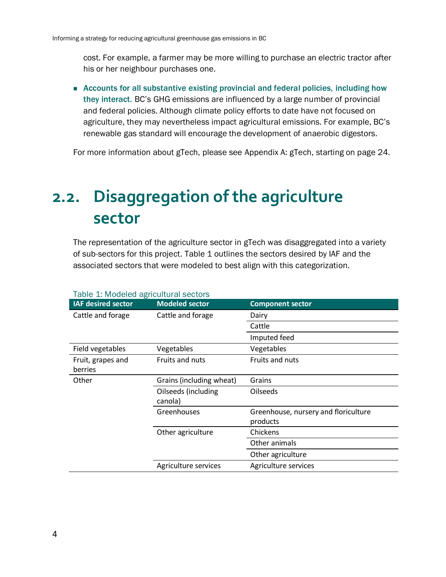cost. For example, a farmer may be more willing to purchase an electric tractor after his or her neighbour purchases one.

■ Accounts for all substantive existing provincial and federal policies, including how they interact. BC's GHG emissions are influenced by a large number of provincial and federal policies. Although climate policy efforts to date have not focused on agriculture, they may nevertheless impact agricultural emissions. For example, BC's renewable gas standard will encourage the development of anaerobic digestors.

For more information about gTech, please see [Appendix A:](#page-37-0) [gTech,](#page-37-0) starting on page 24.

## <span id="page-12-0"></span>**2.2. Disaggregation of the agriculture sector**

The representation of the agriculture sector in gTech was disaggregated into a variety of sub-sectors for this project. [Table 1](#page-12-2) outlines the sectors desired by IAF and the associated sectors that were modeled to best align with this categorization.

<span id="page-12-1"></span>

| <b>IAF desired sector</b>    | <b>Modeled sector</b>          | <b>Component sector</b>                          |  |
|------------------------------|--------------------------------|--------------------------------------------------|--|
| Cattle and forage            | Cattle and forage              | Dairy                                            |  |
|                              |                                | Cattle                                           |  |
|                              |                                | Imputed feed                                     |  |
| Field vegetables             | Vegetables                     | Vegetables                                       |  |
| Fruit, grapes and<br>berries | Fruits and nuts                | Fruits and nuts                                  |  |
| Other                        | Grains (including wheat)       | Grains                                           |  |
|                              | Oilseeds (including<br>canola) | <b>Oilseeds</b>                                  |  |
|                              | Greenhouses                    | Greenhouse, nursery and floriculture<br>products |  |
|                              | Other agriculture              | Chickens                                         |  |
|                              |                                | Other animals                                    |  |
|                              |                                | Other agriculture                                |  |
|                              | Agriculture services           | Agriculture services                             |  |

#### <span id="page-12-2"></span>Table 1: Modeled agricultural sectors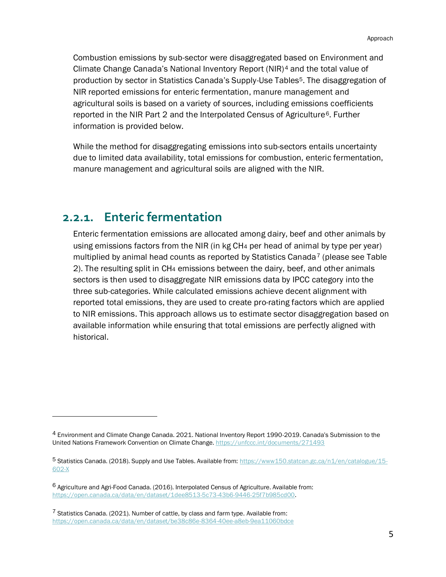Combustion emissions by sub-sector were disaggregated based on Environment and Climate Change Canada's National Inventory Report (NIR)<sup>4</sup> and the total value of production by sector in Statistics Canada's Supply-Use Tables<sup>5</sup>. The disaggregation of NIR reported emissions for enteric fermentation, manure management and agricultural soils is based on a variety of sources, including emissions coefficients reported in the NIR Part 2 and the Interpolated Census of Agriculture<sup>6</sup>. Further information is provided below.

While the method for disaggregating emissions into sub-sectors entails uncertainty due to limited data availability, total emissions for combustion, enteric fermentation, manure management and agricultural soils are aligned with the NIR.

### <span id="page-13-0"></span>**2.2.1. Enteric fermentation**

Enteric fermentation emissions are allocated among dairy, beef and other animals by using emissions factors from the NIR (in kg CH<sup>4</sup> per head of animal by type per year) multiplied by animal head counts as reported by Statistics Canada<sup>7</sup> (please see Table [2\)](#page-14-1). The resulting split in CH<sup>4</sup> emissions between the dairy, beef, and other animals sectors is then used to disaggregate NIR emissions data by IPCC category into the three sub-categories. While calculated emissions achieve decent alignment with reported total emissions, they are used to create pro-rating factors which are applied to NIR emissions. This approach allows us to estimate sector disaggregation based on available information while ensuring that total emissions are perfectly aligned with historical.

<sup>4</sup> Environment and Climate Change Canada. 2021. National Inventory Report 1990-2019. Canada's Submission to the United Nations Framework Convention on Climate Change[. https://unfccc.int/documents/271493](https://unfccc.int/documents/271493)

<sup>5</sup> Statistics Canada. (2018). Supply and Use Tables. Available from: [https://www150.statcan.gc.ca/n1/en/catalogue/15-](https://www150.statcan.gc.ca/n1/en/catalogue/15-602-X) [602-X](https://www150.statcan.gc.ca/n1/en/catalogue/15-602-X)

<sup>6</sup> Agriculture and Agri-Food Canada. (2016). Interpolated Census of Agriculture. Available from: [https://open.canada.ca/data/en/dataset/1dee8513-5c73-43b6-9446-25f7b985cd00.](https://open.canada.ca/data/en/dataset/1dee8513-5c73-43b6-9446-25f7b985cd00)

<sup>7</sup> Statistics Canada. (2021). Number of cattle, by class and farm type. Available from: <https://open.canada.ca/data/en/dataset/be38c86e-8364-40ee-a8eb-9ea11060bdce>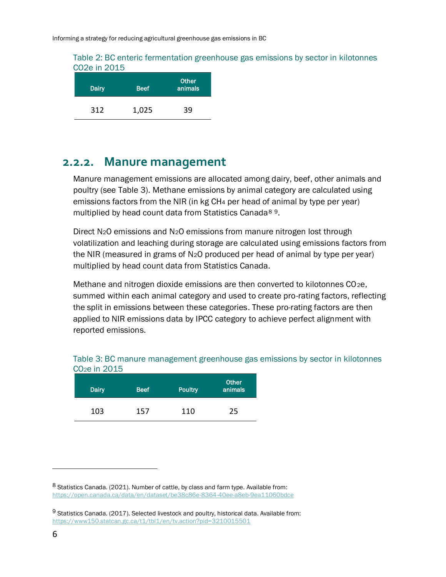#### <span id="page-14-1"></span>Table 2: BC enteric fermentation greenhouse gas emissions by sector in kilotonnes CO2e in 2015

| Dairy | <b>Beef</b> | <b>Other</b><br>animals |
|-------|-------------|-------------------------|
| 312   | 1,025       | 39                      |

### <span id="page-14-0"></span>**2.2.2. Manure management**

Manure management emissions are allocated among dairy, beef, other animals and poultry (see [Table 3\)](#page-14-2). Methane emissions by animal category are calculated using emissions factors from the NIR (in kg CH<sup>4</sup> per head of animal by type per year) multiplied by head count data from Statistics Canada<sup>89</sup>.

Direct N2O emissions and N2O emissions from manure nitrogen lost through volatilization and leaching during storage are calculated using emissions factors from the NIR (measured in grams of N2O produced per head of animal by type per year) multiplied by head count data from Statistics Canada.

Methane and nitrogen dioxide emissions are then converted to kilotonnes CO<sub>2e</sub>, summed within each animal category and used to create pro-rating factors, reflecting the split in emissions between these categories. These pro-rating factors are then applied to NIR emissions data by IPCC category to achieve perfect alignment with reported emissions.

<span id="page-14-2"></span>

| Table 3: BC manure management greenhouse gas emissions by sector in kilotonnes |
|--------------------------------------------------------------------------------|
| CO <sub>2</sub> e in 2015                                                      |
|                                                                                |

| Dairy | <b>Beef</b> | <b>Poultry</b> | <b>Other</b><br>animals |
|-------|-------------|----------------|-------------------------|
| 103   | 157         | 110            | 25                      |

<sup>8</sup> Statistics Canada. (2021). Number of cattle, by class and farm type. Available from: <https://open.canada.ca/data/en/dataset/be38c86e-8364-40ee-a8eb-9ea11060bdce>

<sup>9</sup> Statistics Canada. (2017). Selected livestock and poultry, historical data. Available from: <https://www150.statcan.gc.ca/t1/tbl1/en/tv.action?pid=3210015501>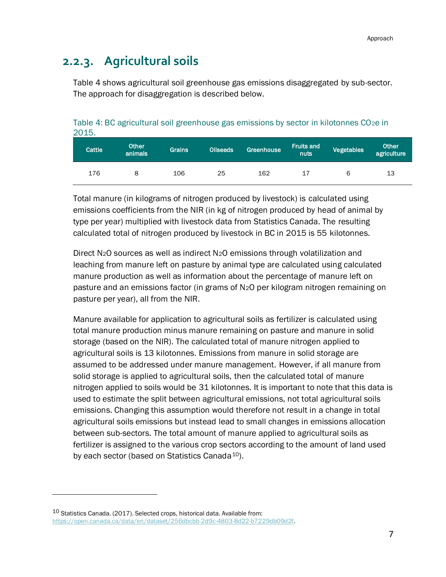### <span id="page-15-0"></span>**2.2.3. Agricultural soils**

[Table 4](#page-15-1) shows agricultural soil greenhouse gas emissions disaggregated by sub-sector. The approach for disaggregation is described below.

<span id="page-15-1"></span>Table 4: BC agricultural soil greenhouse gas emissions by sector in kilotonnes CO<sub>2</sub>e in 2015.

| Cattle <sup>1</sup> | <b>Other</b><br>animals | Grains | <b>Oilseeds</b> | Greenhouse | <b>Fruits and</b><br>nuts | Vegetables | <b>Other</b><br>agriculture |
|---------------------|-------------------------|--------|-----------------|------------|---------------------------|------------|-----------------------------|
| 176                 |                         | 106    | 25              | 162        | 17                        | 6          | 13                          |

Total manure (in kilograms of nitrogen produced by livestock) is calculated using emissions coefficients from the NIR (in kg of nitrogen produced by head of animal by type per year) multiplied with livestock data from Statistics Canada. The resulting calculated total of nitrogen produced by livestock in BC in 2015 is 55 kilotonnes.

Direct N2O sources as well as indirect N2O emissions through volatilization and leaching from manure left on pasture by animal type are calculated using calculated manure production as well as information about the percentage of manure left on pasture and an emissions factor (in grams of N2O per kilogram nitrogen remaining on pasture per year), all from the NIR.

Manure available for application to agricultural soils as fertilizer is calculated using total manure production minus manure remaining on pasture and manure in solid storage (based on the NIR). The calculated total of manure nitrogen applied to agricultural soils is 13 kilotonnes. Emissions from manure in solid storage are assumed to be addressed under manure management. However, if all manure from solid storage is applied to agricultural soils, then the calculated total of manure nitrogen applied to soils would be 31 kilotonnes. It is important to note that this data is used to estimate the split between agricultural emissions, not total agricultural soils emissions. Changing this assumption would therefore not result in a change in total agricultural soils emissions but instead lead to small changes in emissions allocation between sub-sectors. The total amount of manure applied to agricultural soils as fertilizer is assigned to the various crop sectors according to the amount of land used by each sector (based on Statistics Canada<sup>10</sup>).

<sup>10</sup> Statistics Canada. (2017). Selected crops, historical data. Available from: [https://open.canada.ca/data/en/dataset/256dbcbb-2d9c-4803-8d22-b7229db09d2f.](https://open.canada.ca/data/en/dataset/256dbcbb-2d9c-4803-8d22-b7229db09d2f)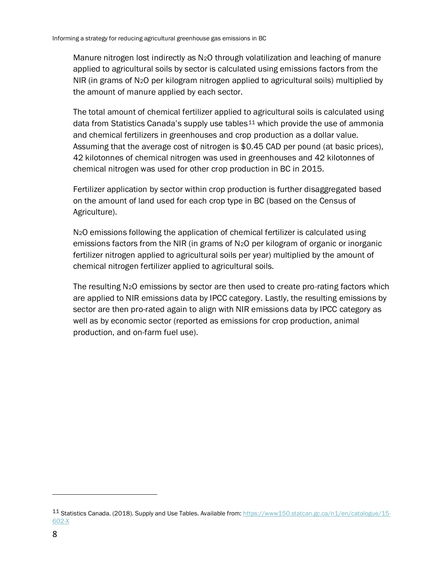Manure nitrogen lost indirectly as N2O through volatilization and leaching of manure applied to agricultural soils by sector is calculated using emissions factors from the NIR (in grams of N<sub>2</sub>O per kilogram nitrogen applied to agricultural soils) multiplied by the amount of manure applied by each sector.

The total amount of chemical fertilizer applied to agricultural soils is calculated using data from Statistics Canada's supply use tables<sup>11</sup> which provide the use of ammonia and chemical fertilizers in greenhouses and crop production as a dollar value. Assuming that the average cost of nitrogen is \$0.45 CAD per pound (at basic prices), 42 kilotonnes of chemical nitrogen was used in greenhouses and 42 kilotonnes of chemical nitrogen was used for other crop production in BC in 2015.

Fertilizer application by sector within crop production is further disaggregated based on the amount of land used for each crop type in BC (based on the Census of Agriculture).

N2O emissions following the application of chemical fertilizer is calculated using emissions factors from the NIR (in grams of N2O per kilogram of organic or inorganic fertilizer nitrogen applied to agricultural soils per year) multiplied by the amount of chemical nitrogen fertilizer applied to agricultural soils.

The resulting N2O emissions by sector are then used to create pro-rating factors which are applied to NIR emissions data by IPCC category. Lastly, the resulting emissions by sector are then pro-rated again to align with NIR emissions data by IPCC category as well as by economic sector (reported as emissions for crop production, animal production, and on-farm fuel use).

<sup>11</sup> Statistics Canada. (2018). Supply and Use Tables. Available from: [https://www150.statcan.gc.ca/n1/en/catalogue/15-](https://www150.statcan.gc.ca/n1/en/catalogue/15-602-X) [602-X](https://www150.statcan.gc.ca/n1/en/catalogue/15-602-X)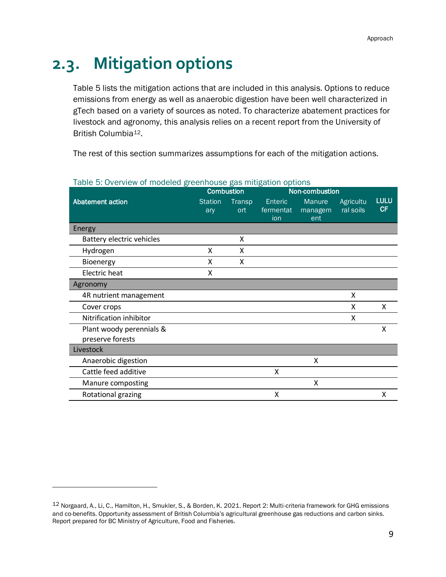## <span id="page-17-0"></span>**2.3. Mitigation options**

[Table 5](#page-17-1) lists the mitigation actions that are included in this analysis. Options to reduce emissions from energy as well as anaerobic digestion have been well characterized in gTech based on a variety of sources as noted. To characterize abatement practices for livestock and agronomy, this analysis relies on a recent report from the University of British Columbia12.

The rest of this section summarizes assumptions for each of the mitigation actions.

|                           | <b>Combustion</b> |               |           | Non-combustion |           |             |
|---------------------------|-------------------|---------------|-----------|----------------|-----------|-------------|
| Abatement action          | <b>Station</b>    | <b>Transp</b> | Enteric   | Manure         | Agricultu | <b>LULU</b> |
|                           | ary               | ort           | fermentat | managem        | ral soils | <b>CF</b>   |
|                           |                   |               | ion       | ent            |           |             |
| Energy                    |                   |               |           |                |           |             |
| Battery electric vehicles |                   | X             |           |                |           |             |
| Hydrogen                  | X                 | X             |           |                |           |             |
| Bioenergy                 | x                 | X             |           |                |           |             |
| Electric heat             | X                 |               |           |                |           |             |
| Agronomy                  |                   |               |           |                |           |             |
| 4R nutrient management    |                   |               |           |                | X         |             |
| Cover crops               |                   |               |           |                | X         | X           |
| Nitrification inhibitor   |                   |               |           |                | X         |             |
| Plant woody perennials &  |                   |               |           |                |           | X           |
| preserve forests          |                   |               |           |                |           |             |
| Livestock                 |                   |               |           |                |           |             |
| Anaerobic digestion       |                   |               |           | x              |           |             |
| Cattle feed additive      |                   |               | x         |                |           |             |
| Manure composting         |                   |               |           | X              |           |             |
| Rotational grazing        |                   |               | x         |                |           | X           |

#### <span id="page-17-1"></span>Table 5: Overview of modeled greenhouse gas mitigation options

<sup>12</sup> Norgaard, A., Li, C., Hamilton, H., Smukler, S., & Borden, K. 2021. Report 2: Multi-criteria framework for GHG emissions and co-benefits. Opportunity assessment of British Columbia's agricultural greenhouse gas reductions and carbon sinks. Report prepared for BC Ministry of Agriculture, Food and Fisheries.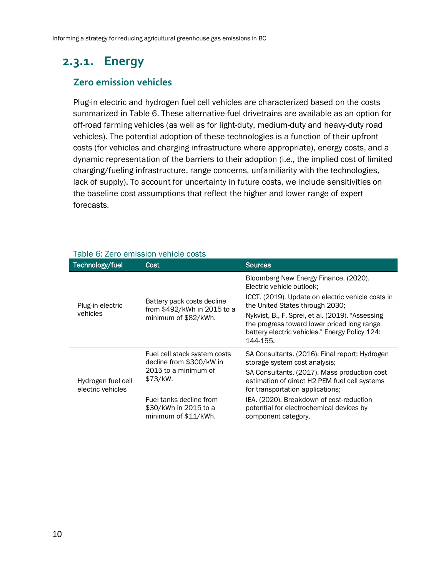## <span id="page-18-0"></span>**2.3.1. Energy**

#### **Zero emission vehicles**

Plug-in electric and hydrogen fuel cell vehicles are characterized based on the costs summarized in [Table 6.](#page-18-1) These alternative-fuel drivetrains are available as an option for off-road farming vehicles (as well as for light-duty, medium-duty and heavy-duty road vehicles). The potential adoption of these technologies is a function of their upfront costs (for vehicles and charging infrastructure where appropriate), energy costs, and a dynamic representation of the barriers to their adoption (i.e., the implied cost of limited charging/fueling infrastructure, range concerns, unfamiliarity with the technologies, lack of supply). To account for uncertainty in future costs, we include sensitivities on the baseline cost assumptions that reflect the higher and lower range of expert forecasts.

| Technology/fuel                         | Cost                                                                     | <b>Sources</b>                                                                                                                                                |  |  |
|-----------------------------------------|--------------------------------------------------------------------------|---------------------------------------------------------------------------------------------------------------------------------------------------------------|--|--|
|                                         |                                                                          | Bloomberg New Energy Finance. (2020).<br>Electric vehicle outlook:                                                                                            |  |  |
| Plug-in electric                        | Battery pack costs decline<br>from \$492/kWh in 2015 to a                | ICCT. (2019). Update on electric vehicle costs in<br>the United States through 2030;                                                                          |  |  |
| vehicles                                | minimum of \$82/kWh.                                                     | Nykvist, B., F. Sprei, et al. (2019). "Assessing<br>the progress toward lower priced long range<br>battery electric vehicles." Energy Policy 124:<br>144-155. |  |  |
|                                         | Fuel cell stack system costs<br>decline from \$300/kW in                 | SA Consultants. (2016). Final report: Hydrogen<br>storage system cost analysis;                                                                               |  |  |
| Hydrogen fuel cell<br>electric vehicles | 2015 to a minimum of<br>\$73/kW.                                         | SA Consultants. (2017). Mass production cost<br>estimation of direct H2 PEM fuel cell systems<br>for transportation applications;                             |  |  |
|                                         | Fuel tanks decline from<br>\$30/kWh in 2015 to a<br>minimum of \$11/kWh. | IEA. (2020). Breakdown of cost-reduction<br>potential for electrochemical devices by<br>component category.                                                   |  |  |

#### <span id="page-18-1"></span>Table 6: Zero emission vehicle costs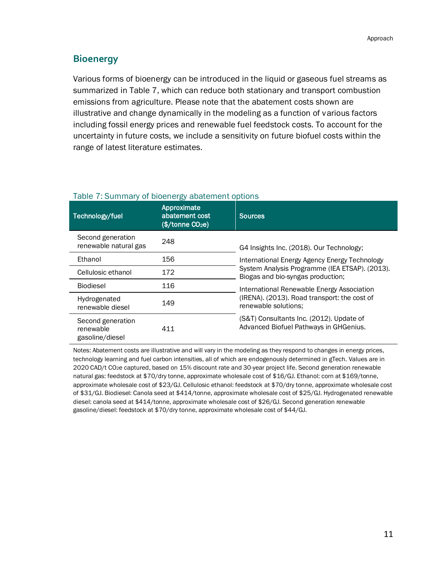#### **Bioenergy**

Various forms of bioenergy can be introduced in the liquid or gaseous fuel streams as summarized in [Table 7,](#page-19-0) which can reduce both stationary and transport combustion emissions from agriculture. Please note that the abatement costs shown are illustrative and change dynamically in the modeling as a function of various factors including fossil energy prices and renewable fuel feedstock costs. To account for the uncertainty in future costs, we include a sensitivity on future biofuel costs within the range of latest literature estimates.

| Technology/fuel                                   | Approximate<br>abatement cost<br>(\$/tonne CO <sub>2</sub> e) | <b>Sources</b>                                                                      |
|---------------------------------------------------|---------------------------------------------------------------|-------------------------------------------------------------------------------------|
| Second generation<br>renewable natural gas        | 248                                                           | G4 Insights Inc. (2018). Our Technology;                                            |
| Ethanol                                           | 156                                                           | International Energy Agency Energy Technology                                       |
| Cellulosic ethanol                                | 172                                                           | System Analysis Programme (IEA ETSAP). (2013).<br>Biogas and bio-syngas production; |
| <b>Biodiesel</b>                                  | 116                                                           | International Renewable Energy Association                                          |
| Hydrogenated<br>renewable diesel                  | 149                                                           | (IRENA). (2013). Road transport: the cost of<br>renewable solutions:                |
| Second generation<br>renewable<br>gasoline/diesel | 411                                                           | (S&T) Consultants Inc. (2012). Update of<br>Advanced Biofuel Pathways in GHGenius.  |

#### <span id="page-19-0"></span>Table 7: Summary of bioenergy abatement options

Notes: Abatement costs are illustrative and will vary in the modeling as they respond to changes in energy prices, technology learning and fuel carbon intensities, all of which are endogenously determined in gTech. Values are in 2020 CAD/t CO2e captured, based on 15% discount rate and 30-year project life. Second generation renewable natural gas: feedstock at \$70/dry tonne, approximate wholesale cost of \$16/GJ. Ethanol: corn at \$169/tonne, approximate wholesale cost of \$23/GJ. Cellulosic ethanol: feedstock at \$70/dry tonne, approximate wholesale cost of \$31/GJ. Biodiesel: Canola seed at \$414/tonne, approximate wholesale cost of \$25/GJ. Hydrogenated renewable diesel: canola seed at \$414/tonne, approximate wholesale cost of \$26/GJ. Second generation renewable gasoline/diesel: feedstock at \$70/dry tonne, approximate wholesale cost of \$44/GJ.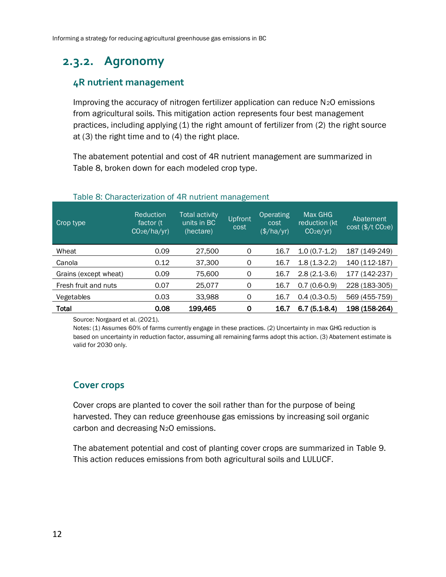## <span id="page-20-0"></span>**2.3.2. Agronomy**

#### **4R nutrient management**

Improving the accuracy of nitrogen fertilizer application can reduce N2O emissions from agricultural soils. This mitigation action represents four best management practices, including applying (1) the right amount of fertilizer from (2) the right source at (3) the right time and to (4) the right place.

The abatement potential and cost of 4R nutrient management are summarized in [Table 8,](#page-20-1) broken down for each modeled crop type.

<span id="page-20-1"></span>

| Crop type             | <b>Reduction</b><br>factor (t)<br>CO <sub>2</sub> e/ha/yr | Total activity<br>units in BC<br>(hectare) | Upfront<br>cost | Operating<br>cost<br>(\$/ha/yr) | Max GHG<br>reduction (kt)<br>CO <sub>2</sub> e/yr | Abatement<br>$cost$ (\$/t $CO2e$ ) |
|-----------------------|-----------------------------------------------------------|--------------------------------------------|-----------------|---------------------------------|---------------------------------------------------|------------------------------------|
| Wheat                 | 0.09                                                      | 27,500                                     | 0               | 16.7                            | $1.0(0.7-1.2)$                                    | 187 (149-249)                      |
| Canola                | 0.12                                                      | 37,300                                     | 0               | 16.7                            | $1.8(1.3-2.2)$                                    | 140 (112-187)                      |
| Grains (except wheat) | 0.09                                                      | 75,600                                     | 0               | 16.7                            | $2.8(2.1-3.6)$                                    | 177 (142-237)                      |
| Fresh fruit and nuts  | 0.07                                                      | 25,077                                     | 0               | 16.7                            | $0.7(0.6-0.9)$                                    | 228 (183-305)                      |
| Vegetables            | 0.03                                                      | 33,988                                     | 0               | 16.7                            | $0.4(0.3-0.5)$                                    | 569 (455-759)                      |
| <b>Total</b>          | 0.08                                                      | 199,465                                    | 0               | 16.7                            | $6.7(5.1-8.4)$                                    | 198 (158-264)                      |

#### Table 8: Characterization of 4R nutrient management

Source: Norgaard et al. (2021).

Notes: (1) Assumes 60% of farms currently engage in these practices. (2) Uncertainty in max GHG reduction is based on uncertainty in reduction factor, assuming all remaining farms adopt this action. (3) Abatement estimate is valid for 2030 only.

#### **Cover crops**

Cover crops are planted to cover the soil rather than for the purpose of being harvested. They can reduce greenhouse gas emissions by increasing soil organic carbon and decreasing N2O emissions.

The abatement potential and cost of planting cover crops are summarized in [Table 9.](#page-21-0) This action reduces emissions from both agricultural soils and LULUCF.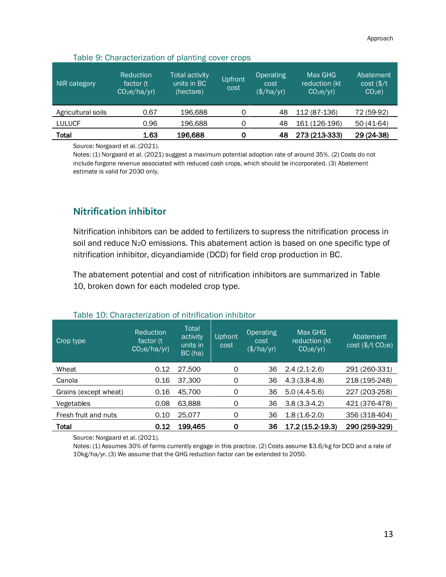<span id="page-21-0"></span>

| NIR category       | Reduction<br>factor (t)<br>CO <sub>2</sub> e/ha/yr) | <b>Total activity</b><br>units in BC<br>(hectare) | Upfront<br>cost | Operating<br>cost<br>$(\frac{\sqrt{2}}{\sqrt{2}})$ | Max GHG<br>reduction (kt<br>CO <sub>2</sub> e/yr | Abatement<br>$cost$ (\$/t<br>CO <sub>2</sub> e |
|--------------------|-----------------------------------------------------|---------------------------------------------------|-----------------|----------------------------------------------------|--------------------------------------------------|------------------------------------------------|
| Agricultural soils | 0.67                                                | 196.688                                           | Ω               | 48                                                 | 112 (87-136)                                     | 72 (59-92)                                     |
| <b>LULUCF</b>      | 0.96                                                | 196,688                                           | Ω               | 48                                                 | 161 (126-196)                                    | 50 (41-64)                                     |
| <b>Total</b>       | 1.63                                                | 196,688                                           | 0               | 48                                                 | 273 (213-333)                                    | 29 (24-38)                                     |

#### Table 9: Characterization of planting cover crops

Source: Norgaard et al. (2021).

Notes: (1) Norgaard et al. (2021) suggest a maximum potential adoption rate of around 35%. (2) Costs do not include forgone revenue associated with reduced cash crops, which should be incorporated. (3) Abatement estimate is valid for 2030 only.

#### **Nitrification inhibitor**

Nitrification inhibitors can be added to fertilizers to supress the nitrification process in soil and reduce N2O emissions. This abatement action is based on one specific type of nitrification inhibitor, dicyandiamide (DCD) for field crop production in BC.

The abatement potential and cost of nitrification inhibitors are summarized in [Table](#page-21-1)  [10,](#page-21-1) broken down for each modeled crop type.

<span id="page-21-1"></span>

| Crop type             | <b>Reduction</b><br>factor (t)<br>CO <sub>2</sub> e/ha/yr) | Total<br>activity<br>units in<br>BC(ha) | <b>Upfront</b><br>cost | <b>Operating</b><br>cost<br>(\$/ha/yr) | Max GHG<br>reduction (kt)<br>CO <sub>2</sub> e/yr | Abatement<br>$cost$ (\$/t $CO2e$ ) |
|-----------------------|------------------------------------------------------------|-----------------------------------------|------------------------|----------------------------------------|---------------------------------------------------|------------------------------------|
| Wheat                 | 0.12                                                       | 27,500                                  | $\Omega$               | 36                                     | $2.4(2.1-2.6)$                                    | 291 (260-331)                      |
| Canola                | 0.16                                                       | 37,300                                  | 0                      | 36                                     | $4.3(3.8-4.8)$                                    | 218 (195-248)                      |
| Grains (except wheat) | 0.16                                                       | 45,700                                  | $\Omega$               | 36                                     | $5.0(4.4-5.6)$                                    | 227 (203-258)                      |
| Vegetables            | 0.08                                                       | 63,888                                  | 0                      | 36                                     | $3.8(3.3-4.2)$                                    | 421 (376-478)                      |
| Fresh fruit and nuts  | 0.10                                                       | 25,077                                  | O                      | 36                                     | $1.8(1.6-2.0)$                                    | 356 (318-404)                      |
| <b>Total</b>          | 0.12                                                       | 199,465                                 | $\Omega$               | 36                                     | 17.2 (15.2-19.3)                                  | 290 (259-329)                      |

#### Table 10: Characterization of nitrification inhibitor

Source: Norgaard et al. (2021).

Notes: (1) Assumes 30% of farms currently engage in this practice. (2) Costs assume \$3.6/kg for DCD and a rate of 10kg/ha/yr. (3) We assume that the GHG reduction factor can be extended to 2050.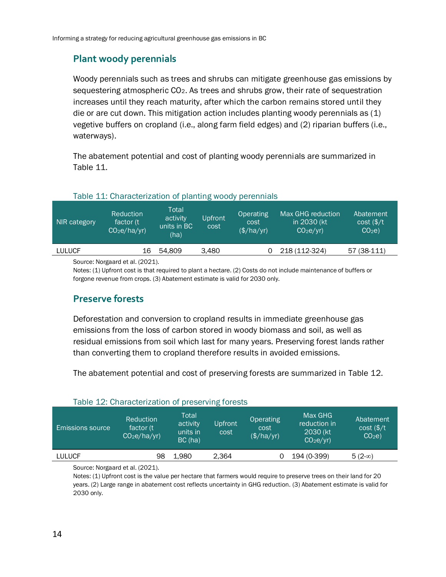#### **Plant woody perennials**

Woody perennials such as trees and shrubs can mitigate greenhouse gas emissions by sequestering atmospheric CO2. As trees and shrubs grow, their rate of sequestration increases until they reach maturity, after which the carbon remains stored until they die or are cut down. This mitigation action includes planting woody perennials as (1) vegetive buffers on cropland (i.e., along farm field edges) and (2) riparian buffers (i.e., waterways).

The abatement potential and cost of planting woody perennials are summarized in [Table 11.](#page-22-0)

<span id="page-22-0"></span>

| NIR category  | <b>Reduction</b><br>factor (t)<br>CO <sub>2</sub> e/ha/yr) | Total<br>activity<br>units in BC<br>(ha) | Upfront<br>cost | Operating<br>cost<br>(\$/ha/yr) | Max GHG reduction<br>in 2030 (kt)<br>CO <sub>2</sub> e/yr | Abatement<br>$cost$ (\$/t<br>CO <sub>2</sub> e |
|---------------|------------------------------------------------------------|------------------------------------------|-----------------|---------------------------------|-----------------------------------------------------------|------------------------------------------------|
| <b>LULUCF</b> | 16                                                         | 54.809                                   | 3.480           |                                 | 218 (112-324)                                             | 57 (38-111)                                    |
|               |                                                            |                                          |                 |                                 |                                                           |                                                |

#### Table 11: Characterization of planting woody perennials

Source: Norgaard et al. (2021).

Notes: (1) Upfront cost is that required to plant a hectare. (2) Costs do not include maintenance of buffers or forgone revenue from crops. (3) Abatement estimate is valid for 2030 only.

#### **Preserve forests**

Deforestation and conversion to cropland results in immediate greenhouse gas emissions from the loss of carbon stored in woody biomass and soil, as well as residual emissions from soil which last for many years. Preserving forest lands rather than converting them to cropland therefore results in avoided emissions.

The abatement potential and cost of preserving forests are summarized in [Table 12.](#page-22-1)

<span id="page-22-1"></span>

| <b>Emissions source</b> | Reduction<br>factor (t)<br>CO <sub>2</sub> e/ha/yr | Total<br>activity<br>units in<br>BC(ha) | Upfront<br>cost | <b>Operating</b><br>cost<br>(\$/ha/yr) | Max GHG<br>reduction in<br>2030 (kt)<br>CO <sub>2</sub> e/yr | Abatement<br>$cost$ (\$/t<br>CO <sub>2</sub> e |
|-------------------------|----------------------------------------------------|-----------------------------------------|-----------------|----------------------------------------|--------------------------------------------------------------|------------------------------------------------|
| <b>LULUCF</b>           | 98                                                 | 1.980                                   | 2.364           |                                        | 194 (0-399)                                                  | $5(2-\infty)$                                  |

#### Table 12: Characterization of preserving forests

Source: Norgaard et al. (2021).

Notes: (1) Upfront cost is the value per hectare that farmers would require to preserve trees on their land for 20 years. (2) Large range in abatement cost reflects uncertainty in GHG reduction. (3) Abatement estimate is valid for 2030 only.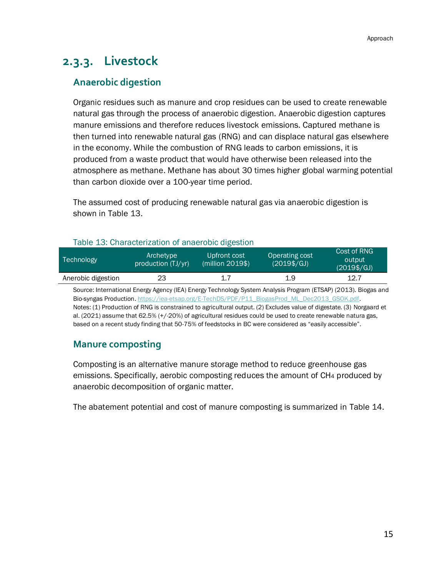## <span id="page-23-0"></span>**2.3.3. Livestock**

#### **Anaerobic digestion**

Organic residues such as manure and crop residues can be used to create renewable natural gas through the process of anaerobic digestion. Anaerobic digestion captures manure emissions and therefore reduces livestock emissions. Captured methane is then turned into renewable natural gas (RNG) and can displace natural gas elsewhere in the economy. While the combustion of RNG leads to carbon emissions, it is produced from a waste product that would have otherwise been released into the atmosphere as methane. Methane has about 30 times higher global warming potential than carbon dioxide over a 100-year time period.

The assumed cost of producing renewable natural gas via anaerobic digestion is shown in [Table 13.](#page-23-1)

#### Table 13: Characterization of anaerobic digestion

<span id="page-23-1"></span>

| Technology         | Archetype<br>production (TJ/yr) | Upfront cost<br>(million 2019\$) | Operating cost<br>$(2019\$/GJ)$ | Cost of RNG<br>output<br>$(2019\$/GJ)$ |
|--------------------|---------------------------------|----------------------------------|---------------------------------|----------------------------------------|
| Anerobic digestion | 23                              |                                  | 1.9                             | 12.7                                   |

Source: International Energy Agency (IEA) Energy Technology System Analysis Program (ETSAP) (2013). Biogas and Bio-syngas Production[. https://iea-etsap.org/E-TechDS/PDF/P11\\_BiogasProd\\_ML\\_Dec2013\\_GSOK.pdf.](https://iea-etsap.org/E-TechDS/PDF/P11_BiogasProd_ML_Dec2013_GSOK.pdf) Notes: (1) Production of RNG is constrained to agricultural output. (2) Excludes value of digestate. (3) Norgaard et al. (2021) assume that 62.5% (+/-20%) of agricultural residues could be used to create renewable natura gas, based on a recent study finding that 50-75% of feedstocks in BC were considered as "easily accessible".

#### **Manure composting**

Composting is an alternative manure storage method to reduce greenhouse gas emissions. Specifically, aerobic composting reduces the amount of CH<sup>4</sup> produced by anaerobic decomposition of organic matter.

The abatement potential and cost of manure composting is summarized in [Table 14.](#page-24-0)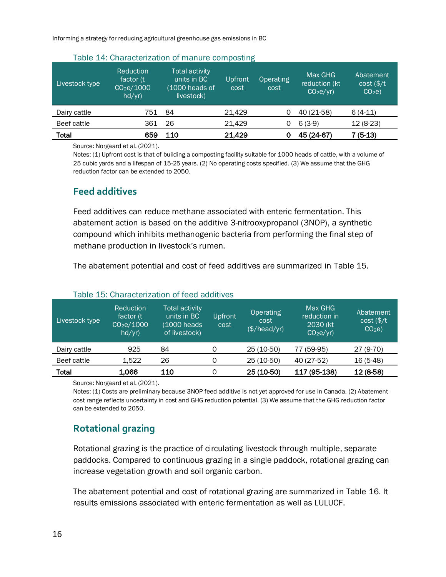Informing a strategy for reducing agricultural greenhouse gas emissions in BC

<span id="page-24-0"></span>

| Livestock type | Reduction<br>factor (t)<br>CO <sub>2</sub> e/1000<br>hd/yr) | Table 14. Undiacterization of manure compositing<br><b>Total activity</b><br>units in BC<br>(1000 heads of<br>livestock) | Upfront<br>cost | <b>Operating</b><br>cost | Max GHG<br>reduction (kt<br>CO <sub>2</sub> e/yr | Abatement<br>$cost$ (\$/t<br>CO <sub>2</sub> e |
|----------------|-------------------------------------------------------------|--------------------------------------------------------------------------------------------------------------------------|-----------------|--------------------------|--------------------------------------------------|------------------------------------------------|
| Dairy cattle   | 751                                                         | 84                                                                                                                       | 21.429          |                          | 40 (21-58)                                       | $6(4-11)$                                      |
| Beef cattle    | 361                                                         | 26                                                                                                                       | 21.429          | O                        | $6(3-9)$                                         | $12(8-23)$                                     |
| Total          | 659                                                         | 110                                                                                                                      | 21,429          |                          | 45 (24-67)                                       | $7(5-13)$                                      |

#### Table 14: Characterization of manure composting

Source: Norgaard et al. (2021).

Notes: (1) Upfront cost is that of building a composting facility suitable for 1000 heads of cattle, with a volume of 25 cubic yards and a lifespan of 15-25 years. (2) No operating costs specified. (3) We assume that the GHG reduction factor can be extended to 2050.

#### **Feed additives**

Feed additives can reduce methane associated with enteric fermentation. This abatement action is based on the additive 3-nitrooxypropanol (3NOP), a synthetic compound which inhibits methanogenic bacteria from performing the final step of methane production in livestock's rumen.

The abatement potential and cost of feed additives are summarized in [Table 15.](#page-24-1)

<span id="page-24-1"></span>

| Livestock type | Reduction<br>factor (t)<br>CO <sub>2</sub> e/1000<br>hd/yr) | <b>Total activity</b><br>units in BC<br>(1000 heads<br>of livestock) | Upfront<br>cost | Operating<br>cost<br>(\$/head/yr) | Max GHG<br>reduction in<br>2030 (kt)<br>CO <sub>2</sub> e/yr | Abatement<br>$cost$ (\$/t<br>CO <sub>2</sub> e |
|----------------|-------------------------------------------------------------|----------------------------------------------------------------------|-----------------|-----------------------------------|--------------------------------------------------------------|------------------------------------------------|
| Dairy cattle   | 925                                                         | 84                                                                   | 0               | 25 (10-50)                        | 77 (59-95)                                                   | 27 (9-70)                                      |
| Beef cattle    | 1,522                                                       | 26                                                                   | 0               | 25 (10-50)                        | 40 (27-52)                                                   | 16 (5-48)                                      |
| Total          | 1,066                                                       | 110                                                                  | Ω               | 25 (10-50)                        | 117 (95-138)                                                 | 12 (8-58)                                      |

#### Table 15: Characterization of feed additives

Source: Norgaard et al. (2021).

Notes: (1) Costs are preliminary because 3NOP feed additive is not yet approved for use in Canada. (2) Abatement cost range reflects uncertainty in cost and GHG reduction potential. (3) We assume that the GHG reduction factor can be extended to 2050.

#### **Rotational grazing**

Rotational grazing is the practice of circulating livestock through multiple, separate paddocks. Compared to continuous grazing in a single paddock, rotational grazing can increase vegetation growth and soil organic carbon.

The abatement potential and cost of rotational grazing are summarized in [Table 16.](#page-25-1) It results emissions associated with enteric fermentation as well as LULUCF.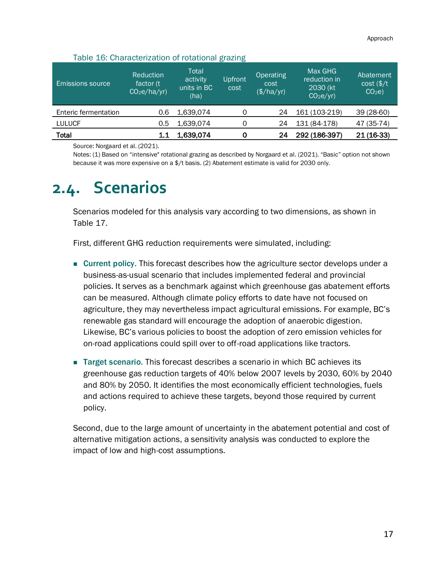| Table 16: Characterization of rotational grazing |  |
|--------------------------------------------------|--|
|--------------------------------------------------|--|

<span id="page-25-1"></span>

| <b>Emissions source</b> | Reduction<br>factor (t)<br>CO <sub>2</sub> e/ha/yr) | Total<br>activity<br>units in BC<br>(ha) | Upfront<br>cost | <b>Operating</b><br>cost<br>(\$/ha/yr) | Max GHG<br>reduction in<br>2030 (kt)<br>CO <sub>2</sub> e/yr | Abatement<br>$cost$ (\$/t<br>CO <sub>2</sub> e |
|-------------------------|-----------------------------------------------------|------------------------------------------|-----------------|----------------------------------------|--------------------------------------------------------------|------------------------------------------------|
| Enteric fermentation    | 0.6                                                 | 1,639,074                                |                 | 24                                     | 161 (103-219)                                                | 39 (28-60)                                     |
| <b>LULUCF</b>           | 0.5                                                 | 1.639.074                                | 0               | 24                                     | 131 (84-178)                                                 | 47 (35-74)                                     |
| Total                   | 1.1                                                 | 1,639,074                                |                 | 24                                     | 292 (186-397)                                                | $21(16-33)$                                    |

Source: Norgaard et al. (2021).

Notes: (1) Based on "intensive" rotational grazing as described by Norgaard et al. (2021). "Basic" option not shown because it was more expensive on a \$/t basis. (2) Abatement estimate is valid for 2030 only.

## <span id="page-25-0"></span>**2.4. Scenarios**

Scenarios modeled for this analysis vary according to two dimensions, as shown in [Table 17.](#page-26-1)

First, different GHG reduction requirements were simulated, including:

- Current policy. This forecast describes how the agriculture sector develops under a business-as-usual scenario that includes implemented federal and provincial policies. It serves as a benchmark against which greenhouse gas abatement efforts can be measured. Although climate policy efforts to date have not focused on agriculture, they may nevertheless impact agricultural emissions. For example, BC's renewable gas standard will encourage the adoption of anaerobic digestion. Likewise, BC's various policies to boost the adoption of zero emission vehicles for on-road applications could spill over to off-road applications like tractors.
- Target scenario. This forecast describes a scenario in which BC achieves its greenhouse gas reduction targets of 40% below 2007 levels by 2030, 60% by 2040 and 80% by 2050. It identifies the most economically efficient technologies, fuels and actions required to achieve these targets, beyond those required by current policy.

Second, due to the large amount of uncertainty in the abatement potential and cost of alternative mitigation actions, a sensitivity analysis was conducted to explore the impact of low and high-cost assumptions.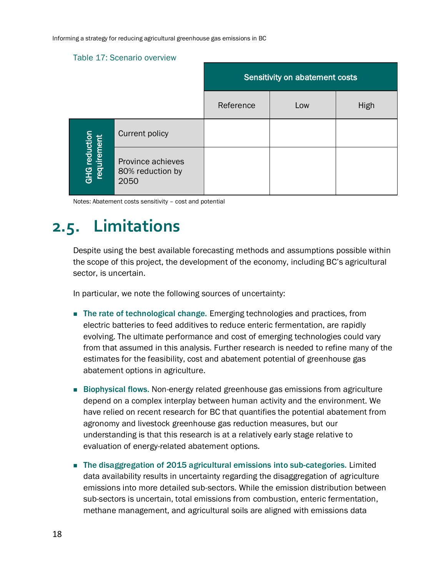#### <span id="page-26-1"></span>Table 17: Scenario overview

|                              |                                               | Sensitivity on abatement costs |     |      |  |  |
|------------------------------|-----------------------------------------------|--------------------------------|-----|------|--|--|
|                              |                                               | Reference                      | Low | High |  |  |
|                              | <b>Current policy</b>                         |                                |     |      |  |  |
| GHG reduction<br>requirement | Province achieves<br>80% reduction by<br>2050 |                                |     |      |  |  |

Notes: Abatement costs sensitivity – cost and potential

## <span id="page-26-0"></span>**2.5. Limitations**

Despite using the best available forecasting methods and assumptions possible within the scope of this project, the development of the economy, including BC's agricultural sector, is uncertain.

In particular, we note the following sources of uncertainty:

- The rate of technological change. Emerging technologies and practices, from electric batteries to feed additives to reduce enteric fermentation, are rapidly evolving. The ultimate performance and cost of emerging technologies could vary from that assumed in this analysis. Further research is needed to refine many of the estimates for the feasibility, cost and abatement potential of greenhouse gas abatement options in agriculture.
- Biophysical flows. Non-energy related greenhouse gas emissions from agriculture depend on a complex interplay between human activity and the environment. We have relied on recent research for BC that quantifies the potential abatement from agronomy and livestock greenhouse gas reduction measures, but our understanding is that this research is at a relatively early stage relative to evaluation of energy-related abatement options.
- The disaggregation of 2015 agricultural emissions into sub-categories. Limited data availability results in uncertainty regarding the disaggregation of agriculture emissions into more detailed sub-sectors. While the emission distribution between sub-sectors is uncertain, total emissions from combustion, enteric fermentation, methane management, and agricultural soils are aligned with emissions data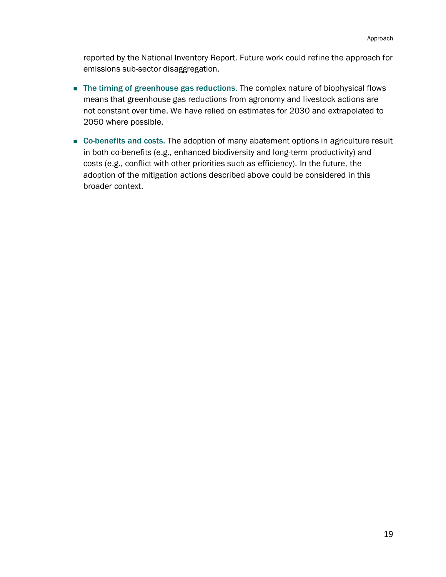reported by the National Inventory Report. Future work could refine the approach for emissions sub-sector disaggregation.

- The timing of greenhouse gas reductions. The complex nature of biophysical flows means that greenhouse gas reductions from agronomy and livestock actions are not constant over time. We have relied on estimates for 2030 and extrapolated to 2050 where possible.
- Co-benefits and costs. The adoption of many abatement options in agriculture result in both co-benefits (e.g., enhanced biodiversity and long-term productivity) and costs (e.g., conflict with other priorities such as efficiency). In the future, the adoption of the mitigation actions described above could be considered in this broader context.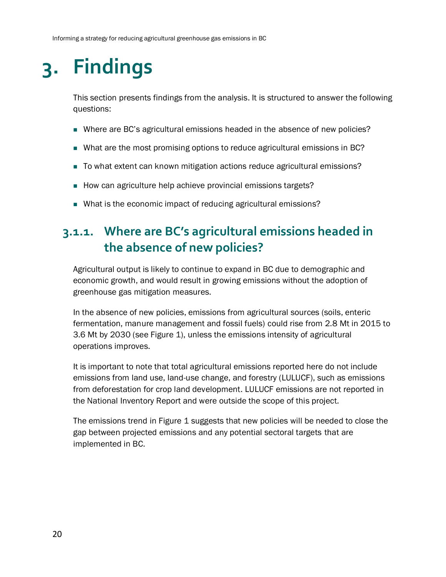# <span id="page-28-0"></span>**3. Findings**

This section presents findings from the analysis. It is structured to answer the following questions:

- Where are BC's agricultural emissions headed in the absence of new policies?
- What are the most promising options to reduce agricultural emissions in BC?
- To what extent can known mitigation actions reduce agricultural emissions?
- How can agriculture help achieve provincial emissions targets?
- What is the economic impact of reducing agricultural emissions?

### <span id="page-28-1"></span>**3.1.1. Where are BC's agricultural emissions headed in the absence of new policies?**

Agricultural output is likely to continue to expand in BC due to demographic and economic growth, and would result in growing emissions without the adoption of greenhouse gas mitigation measures.

In the absence of new policies, emissions from agricultural sources (soils, enteric fermentation, manure management and fossil fuels) could rise from 2.8 Mt in 2015 to 3.6 Mt by 2030 (see [Figure 1\)](#page-29-1), unless the emissions intensity of agricultural operations improves.

It is important to note that total agricultural emissions reported here do not include emissions from land use, land-use change, and forestry (LULUCF), such as emissions from deforestation for crop land development. LULUCF emissions are not reported in the National Inventory Report and were outside the scope of this project.

The emissions trend in [Figure 1](#page-29-1) suggests that new policies will be needed to close the gap between projected emissions and any potential sectoral targets that are implemented in BC.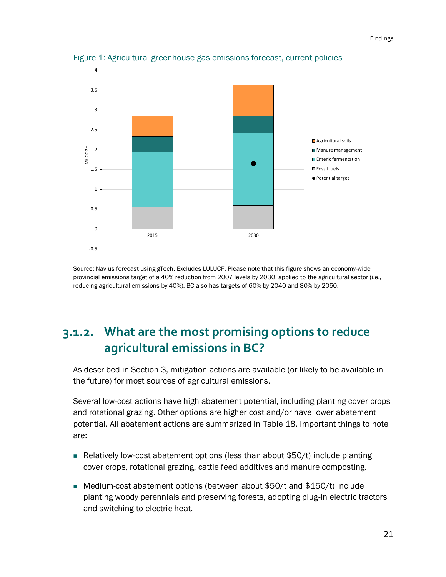

<span id="page-29-1"></span>Figure 1: Agricultural greenhouse gas emissions forecast, current policies

Source: Navius forecast using gTech. Excludes LULUCF. Please note that this figure shows an economy-wide provincial emissions target of a 40% reduction from 2007 levels by 2030, applied to the agricultural sector (i.e., reducing agricultural emissions by 40%). BC also has targets of 60% by 2040 and 80% by 2050.

### <span id="page-29-0"></span>**3.1.2. What are the most promising options to reduce agricultural emissions in BC?**

As described in Section [3,](#page-11-0) mitigation actions are available (or likely to be available in the future) for most sources of agricultural emissions.

Several low-cost actions have high abatement potential, including planting cover crops and rotational grazing. Other options are higher cost and/or have lower abatement potential. All abatement actions are summarized in [Table 18.](#page-30-0) Important things to note are:

- Relatively low-cost abatement options (less than about \$50/t) include planting cover crops, rotational grazing, cattle feed additives and manure composting.
- Medium-cost abatement options (between about \$50/t and \$150/t) include planting woody perennials and preserving forests, adopting plug-in electric tractors and switching to electric heat.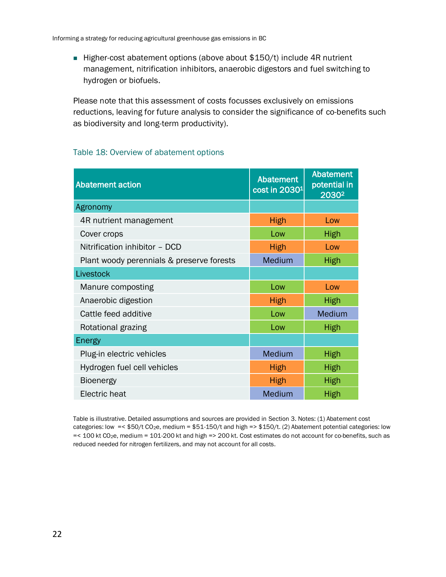■ Higher-cost abatement options (above about \$150/t) include 4R nutrient management, nitrification inhibitors, anaerobic digestors and fuel switching to hydrogen or biofuels.

Please note that this assessment of costs focusses exclusively on emissions reductions, leaving for future analysis to consider the significance of co-benefits such as biodiversity and long-term productivity).

#### <span id="page-30-0"></span>Table 18: Overview of abatement options

| <b>Abatement action</b>                   | <b>Abatement</b><br>cost in 2030 <sup>1</sup> | <b>Abatement</b><br>potential in<br>2030 <sup>2</sup> |
|-------------------------------------------|-----------------------------------------------|-------------------------------------------------------|
| Agronomy                                  |                                               |                                                       |
| 4R nutrient management                    | <b>High</b>                                   | Low                                                   |
| Cover crops                               | Low                                           | <b>High</b>                                           |
| Nitrification inhibitor - DCD             | High                                          | Low                                                   |
| Plant woody perennials & preserve forests | Medium                                        | <b>High</b>                                           |
| Livestock                                 |                                               |                                                       |
| Manure composting                         | Low                                           | Low                                                   |
| Anaerobic digestion                       | <b>High</b>                                   | <b>High</b>                                           |
| Cattle feed additive                      | Low                                           | Medium                                                |
| Rotational grazing                        | Low                                           | <b>High</b>                                           |
| Energy                                    |                                               |                                                       |
| Plug-in electric vehicles                 | Medium                                        | <b>High</b>                                           |
| Hydrogen fuel cell vehicles               | <b>High</b>                                   | <b>High</b>                                           |
| <b>Bioenergy</b>                          | <b>High</b>                                   | <b>High</b>                                           |
| Electric heat                             | Medium                                        | <b>High</b>                                           |

Table is illustrative. Detailed assumptions and sources are provided in Sectio[n 3.](#page-11-0) Notes: (1) Abatement cost categories: low =< \$50/t CO2e, medium = \$51-150/t and high => \$150/t. (2) Abatement potential categories: low =< 100 kt CO2e, medium = 101-200 kt and high => 200 kt. Cost estimates do not account for co-benefits, such as reduced needed for nitrogen fertilizers, and may not account for all costs.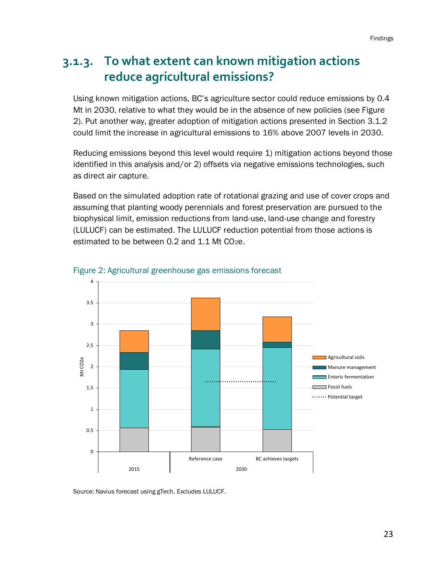### <span id="page-31-0"></span>**3.1.3. To what extent can known mitigation actions reduce agricultural emissions?**

Using known mitigation actions, BC's agriculture sector could reduce emissions by 0.4 Mt in 2030, relative to what they would be in the absence of new policies (see [Figure](#page-31-1)  [2\)](#page-31-1). Put another way, greater adoption of mitigation actions presented in Section 3.1.2 could limit the increase in agricultural emissions to 16% above 2007 levels in 2030.

Reducing emissions beyond this level would require 1) mitigation actions beyond those identified in this analysis and/or 2) offsets via negative emissions technologies, such as direct air capture.

Based on the simulated adoption rate of rotational grazing and use of cover crops and assuming that planting woody perennials and forest preservation are pursued to the biophysical limit, emission reductions from land-use, land-use change and forestry (LULUCF) can be estimated. The LULUCF reduction potential from those actions is estimated to be between 0.2 and 1.1 Mt CO<sub>2</sub>e.



<span id="page-31-1"></span>

Source: Navius forecast using gTech. Excludes LULUCF.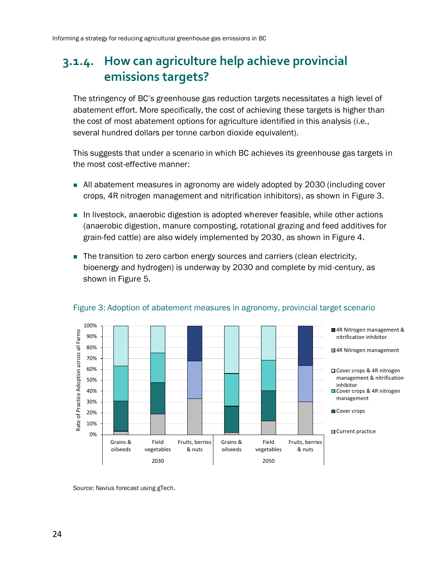### <span id="page-32-0"></span>**3.1.4. How can agriculture help achieve provincial emissions targets?**

The stringency of BC's greenhouse gas reduction targets necessitates a high level of abatement effort. More specifically, the cost of achieving these targets is higher than the cost of most abatement options for agriculture identified in this analysis (i.e., several hundred dollars per tonne carbon dioxide equivalent).

This suggests that under a scenario in which BC achieves its greenhouse gas targets in the most cost-effective manner:

- All abatement measures in agronomy are widely adopted by 2030 (including cover crops, 4R nitrogen management and nitrification inhibitors), as shown in [Figure 3.](#page-32-1)
- In livestock, anaerobic digestion is adopted wherever feasible, while other actions (anaerobic digestion, manure composting, rotational grazing and feed additives for grain-fed cattle) are also widely implemented by 2030, as shown in [Figure 4.](#page-33-0)
- The transition to zero carbon energy sources and carriers (clean electricity, bioenergy and hydrogen) is underway by 2030 and complete by mid-century, as shown in [Figure 5.](#page-33-1)



#### <span id="page-32-1"></span>Figure 3: Adoption of abatement measures in agronomy, provincial target scenario

Source: Navius forecast using gTech.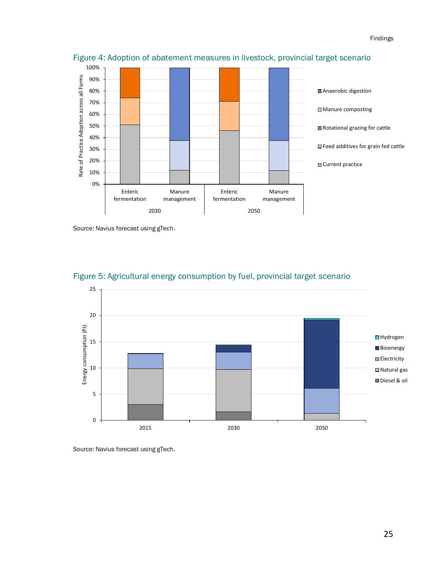

<span id="page-33-0"></span>Figure 4: Adoption of abatement measures in livestock, provincial target scenario

Source: Navius forecast using gTech.



<span id="page-33-1"></span>

Source: Navius forecast using gTech.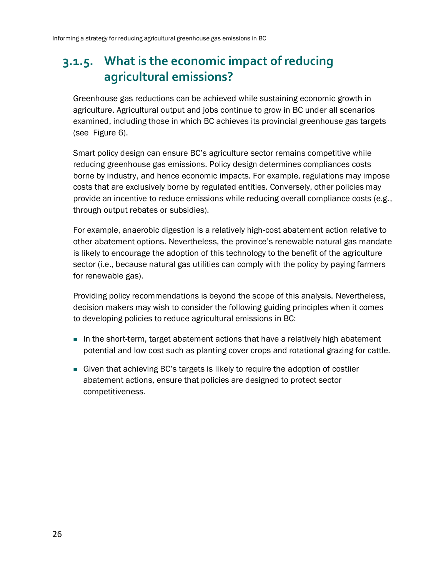## <span id="page-34-0"></span>**3.1.5. What is the economic impact of reducing agricultural emissions?**

Greenhouse gas reductions can be achieved while sustaining economic growth in agriculture. Agricultural output and jobs continue to grow in BC under all scenarios examined, including those in which BC achieves its provincial greenhouse gas targets (see [Figure 6\)](#page-35-0).

Smart policy design can ensure BC's agriculture sector remains competitive while reducing greenhouse gas emissions. Policy design determines compliances costs borne by industry, and hence economic impacts. For example, regulations may impose costs that are exclusively borne by regulated entities. Conversely, other policies may provide an incentive to reduce emissions while reducing overall compliance costs (e.g., through output rebates or subsidies).

For example, anaerobic digestion is a relatively high-cost abatement action relative to other abatement options. Nevertheless, the province's renewable natural gas mandate is likely to encourage the adoption of this technology to the benefit of the agriculture sector (i.e., because natural gas utilities can comply with the policy by paying farmers for renewable gas).

Providing policy recommendations is beyond the scope of this analysis. Nevertheless, decision makers may wish to consider the following guiding principles when it comes to developing policies to reduce agricultural emissions in BC:

- In the short-term, target abatement actions that have a relatively high abatement potential and low cost such as planting cover crops and rotational grazing for cattle.
- Given that achieving BC's targets is likely to require the adoption of costlier abatement actions, ensure that policies are designed to protect sector competitiveness.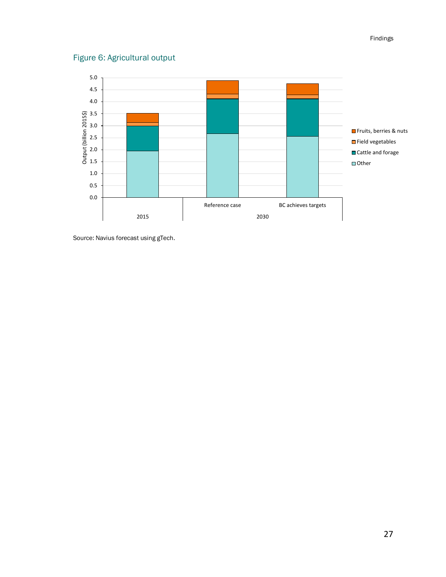#### <span id="page-35-0"></span>Figure 6: Agricultural output



Source: Navius forecast using gTech.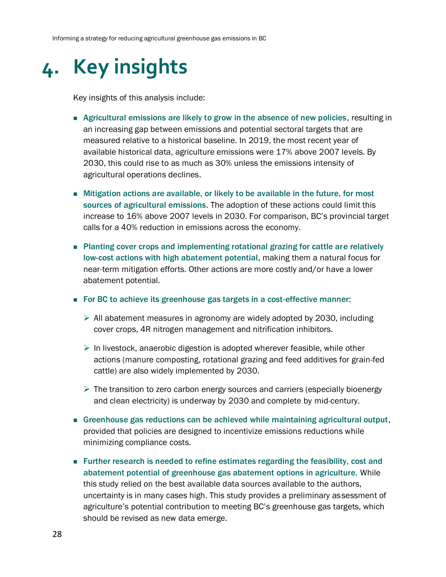# <span id="page-36-0"></span>**4. Key insights**

Key insights of this analysis include:

- Agricultural emissions are likely to grow in the absence of new policies, resulting in an increasing gap between emissions and potential sectoral targets that are measured relative to a historical baseline. In 2019, the most recent year of available historical data, agriculture emissions were 17% above 2007 levels. By 2030, this could rise to as much as 30% unless the emissions intensity of agricultural operations declines.
- Mitigation actions are available, or likely to be available in the future, for most sources of agricultural emissions. The adoption of these actions could limit this increase to 16% above 2007 levels in 2030. For comparison, BC's provincial target calls for a 40% reduction in emissions across the economy.
- Planting cover crops and implementing rotational grazing for cattle are relatively low-cost actions with high abatement potential, making them a natural focus for near-term mitigation efforts. Other actions are more costly and/or have a lower abatement potential.
- For BC to achieve its greenhouse gas targets in a cost-effective manner:
	- $\triangleright$  All abatement measures in agronomy are widely adopted by 2030, including cover crops, 4R nitrogen management and nitrification inhibitors.
	- $\triangleright$  In livestock, anaerobic digestion is adopted wherever feasible, while other actions (manure composting, rotational grazing and feed additives for grain-fed cattle) are also widely implemented by 2030.
	- $\triangleright$  The transition to zero carbon energy sources and carriers (especially bioenergy and clean electricity) is underway by 2030 and complete by mid-century.
- Greenhouse gas reductions can be achieved while maintaining agricultural output, provided that policies are designed to incentivize emissions reductions while minimizing compliance costs.
- Further research is needed to refine estimates regarding the feasibility, cost and abatement potential of greenhouse gas abatement options in agriculture. While this study relied on the best available data sources available to the authors, uncertainty is in many cases high. This study provides a preliminary assessment of agriculture's potential contribution to meeting BC's greenhouse gas targets, which should be revised as new data emerge.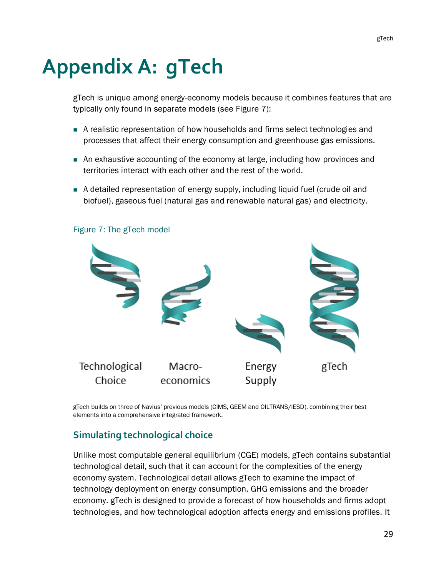# <span id="page-37-0"></span>**Appendix A: gTech**

gTech is unique among energy-economy models because it combines features that are typically only found in separate models (see [Figure 7\)](#page-37-1):

- A realistic representation of how households and firms select technologies and processes that affect their energy consumption and greenhouse gas emissions.
- An exhaustive accounting of the economy at large, including how provinces and territories interact with each other and the rest of the world.
- A detailed representation of energy supply, including liquid fuel (crude oil and biofuel), gaseous fuel (natural gas and renewable natural gas) and electricity.



#### <span id="page-37-1"></span>Figure 7: The gTech model

gTech builds on three of Navius' previous models (CIMS, GEEM and OILTRANS/IESD), combining their best elements into a comprehensive integrated framework.

#### **Simulating technological choice**

Unlike most computable general equilibrium (CGE) models, gTech contains substantial technological detail, such that it can account for the complexities of the energy economy system. Technological detail allows gTech to examine the impact of technology deployment on energy consumption, GHG emissions and the broader economy. gTech is designed to provide a forecast of how households and firms adopt technologies, and how technological adoption affects energy and emissions profiles. It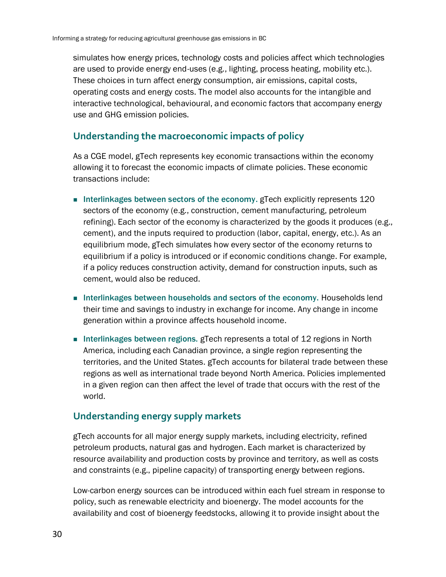simulates how energy prices, technology costs and policies affect which technologies are used to provide energy end-uses (e.g., lighting, process heating, mobility etc.). These choices in turn affect energy consumption, air emissions, capital costs, operating costs and energy costs. The model also accounts for the intangible and interactive technological, behavioural, and economic factors that accompany energy use and GHG emission policies.

#### **Understanding the macroeconomic impacts of policy**

As a CGE model, gTech represents key economic transactions within the economy allowing it to forecast the economic impacts of climate policies. These economic transactions include:

- Interlinkages between sectors of the economy. gTech explicitly represents 120 sectors of the economy (e.g., construction, cement manufacturing, petroleum refining). Each sector of the economy is characterized by the goods it produces (e.g., cement), and the inputs required to production (labor, capital, energy, etc.). As an equilibrium mode, gTech simulates how every sector of the economy returns to equilibrium if a policy is introduced or if economic conditions change. For example, if a policy reduces construction activity, demand for construction inputs, such as cement, would also be reduced.
- Interlinkages between households and sectors of the economy. Households lend their time and savings to industry in exchange for income. Any change in income generation within a province affects household income.
- Interlinkages between regions. gTech represents a total of 12 regions in North America, including each Canadian province, a single region representing the territories, and the United States. gTech accounts for bilateral trade between these regions as well as international trade beyond North America. Policies implemented in a given region can then affect the level of trade that occurs with the rest of the world.

#### **Understanding energy supply markets**

gTech accounts for all major energy supply markets, including electricity, refined petroleum products, natural gas and hydrogen. Each market is characterized by resource availability and production costs by province and territory, as well as costs and constraints (e.g., pipeline capacity) of transporting energy between regions.

Low-carbon energy sources can be introduced within each fuel stream in response to policy, such as renewable electricity and bioenergy. The model accounts for the availability and cost of bioenergy feedstocks, allowing it to provide insight about the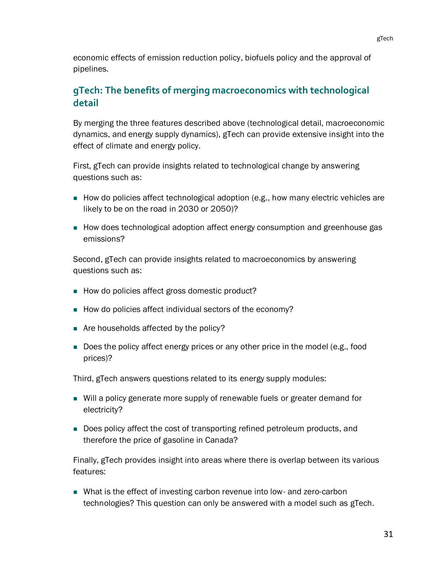economic effects of emission reduction policy, biofuels policy and the approval of pipelines.

#### **gTech: The benefits of merging macroeconomics with technological detail**

By merging the three features described above (technological detail, macroeconomic dynamics, and energy supply dynamics), gTech can provide extensive insight into the effect of climate and energy policy.

First, gTech can provide insights related to technological change by answering questions such as:

- How do policies affect technological adoption (e.g., how many electric vehicles are likely to be on the road in 2030 or 2050)?
- How does technological adoption affect energy consumption and greenhouse gas emissions?

Second, gTech can provide insights related to macroeconomics by answering questions such as:

- How do policies affect gross domestic product?
- How do policies affect individual sectors of the economy?
- Are households affected by the policy?
- Does the policy affect energy prices or any other price in the model (e.g., food prices)?

Third, gTech answers questions related to its energy supply modules:

- Will a policy generate more supply of renewable fuels or greater demand for electricity?
- Does policy affect the cost of transporting refined petroleum products, and therefore the price of gasoline in Canada?

Finally, gTech provides insight into areas where there is overlap between its various features:

■ What is the effect of investing carbon revenue into low- and zero-carbon technologies? This question can only be answered with a model such as gTech.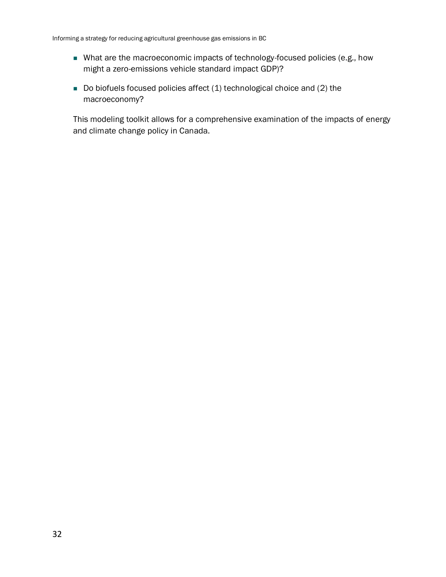- What are the macroeconomic impacts of technology-focused policies (e.g., how might a zero-emissions vehicle standard impact GDP)?
- Do biofuels focused policies affect (1) technological choice and (2) the macroeconomy?

This modeling toolkit allows for a comprehensive examination of the impacts of energy and climate change policy in Canada.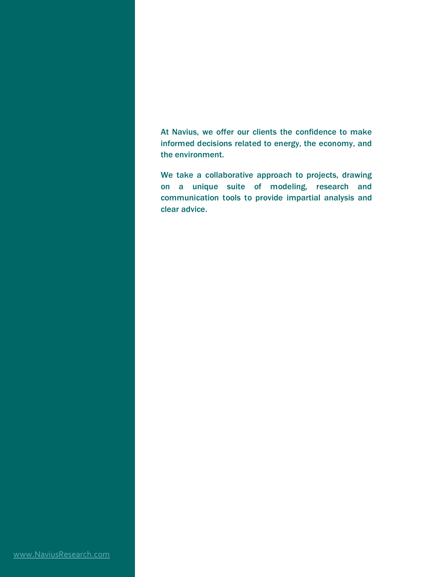At Navius, we offer our clients the confidence to make informed decisions related to energy, the economy, and the environment.

We take a collaborative approach to projects, drawing on a unique suite of modeling, research and communication tools to provide impartial analysis and clear advice.